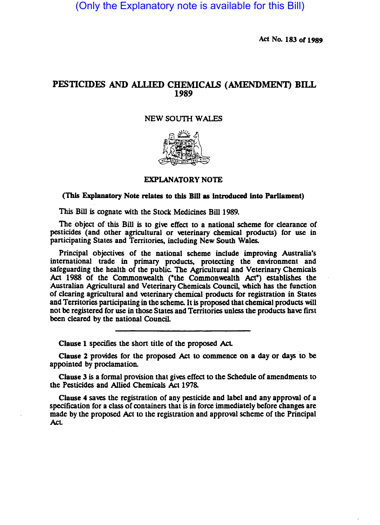(Only the Explanatory note is available for this Bill)

Act No. 183 or 1989

# PESTICIDES AND ALLIED CHEMICALS (AMENDMENT) BILL 1989

#### NEW SOUTH WALES



## EXPLANATORY NOTE

#### ('Ibis Explanatory Note relates to this Bill as introduced into Parliament)

This Bill is cognate with the Stock Medicines Bill 1989.

The object of this Bill is to give effect to a national scheme for clearance of pesticides (and other agricultural or veterinary chemical products) for use in participating States and Territories, including New South Wales.

Principal objectives of the national scheme include improving Australia's intemational trade in primary products, protecting the environment and safeguarding the health of the public. The Agricultural and Veterinary Chemicals Act 1988 of the Commonwealth ("the Commonwealth Act") establishes the Australian Agricultural and Veterinary Chemicals Council, which has the function of clearing agricultural and veterinary chemical products for registration in States and Territories participating in the scheme. It is proposed that chemical products will not be registered for use in those States and Territories unless the products have first been cleared by the national CounciL

Clause 1 specifies the short title of the proposed Act.

Clause 2 provides for the proposed Act to commence on a day or days to be appointed by proclamation.

Clause 3 is a formal provision that gives effect to the Schedule of amendments to the Pesticides and Allied Chemicals Act 1978.

Clause 4 saves the registration of any pesticide and label and any approval of a specification for a class of containers that is in force immediately before changes are made by the proposed Act to the registration and approval scheme of the Principal Act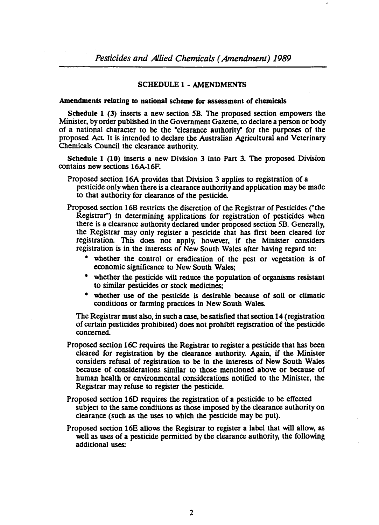## SCHEDULE 1· AMENDMENTS

#### Amendments relating to national scheme for assessment of chemicals

Schedule 1 (3) inserts a new section SB. The proposed section empowers the Minister, by order published in the Government Gazette, to declare a person or body of a national character to be the ·clearance authority" for the purposes of the proposed Act. It is intended to declare the Australian Agricultural and Veterinary Chemicals Council the clearance authority.

Schedule 1 (10) inserts a new Division 3 into Part 3. The proposed Division contains new sections 16A-16F.

- Proposed section 16A provides that Division 3 applies to registration of a pesticide only when there is a clearance authority and application may be made to that authority for clearance of the pesticide.
- Proposed section 16B restricts the discretion of the Registrar of Pesticides ("the Registrar") in determining applications for registration of pesticides when there is a clearance authority declared under proposed section SB. Generally, the Registrar may only register a pesticide that has first been cleared for registration. This does not apply, however, if the Minister considers registration is in the interests of New South Wales after having regard to:
	- whether the control or eradication of the pest or vegetation is of economic significance to New South Wales;
	- whether the pesticide will reduce the population of organisms resistant to similar pesticides or stock medicines;
	- whether use of the pesticide is desirable because of soil or climatic conditions or farming practices in New South Wales.

The Registrar must also, in such a case, be satisfied that section 14 (registration of certain pesticides prohibited) does not prohibit registration of the pesticide concerned.

- Proposed section 16C requires the Registrar to register a pesticide that has been cleared for registration by the clearance authority. Again, if the Minister considers refusal of registration to be in the interests of New South Wales because of considerations similar to those mentioned above or because of human health or environmental considerations notified to the Minister, the Registrar may refuse to register the pesticide.
- Proposed section 160 requires the registration of a pesticide to be effected subject to the same conditions as those imposed by the clearance authority on clearance (such as the uses to which the pesticide may be put).
- Proposed section 16E allows the Registrar to register a label that will allow, as well as uses of a pesticide permitted by the clearance authority, the following additional uses: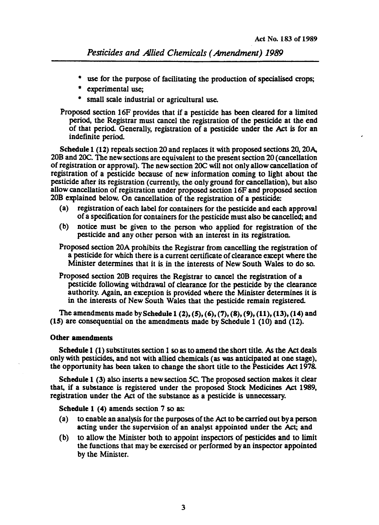- use for the purpose of facilitating the production of specialised crops;
- experimental use;
- small scale industrial or agricultural use.

Proposed section 16F provides that if a pesticide has been cleared for a limited period, the Registrar must cancel the registration of the pesticide at the end of that period. Generally. registration of a pesticide under the Act is for an indefinite period.

Schedule 1 (12) repeals section 20 and replaces it with proposed sections 20, 20 $A$ , 20B and 2OC. The new sections are equivalent to the present section 20 (cancellation of registration or approval). The new section 20C will not only allow cancellation of registration of a pesticide because of new information coming to light about the pesticide after its registration (currently. the only ground for cancellation). but also allow cancellation of registration under proposed section 16F and proposed section 20B explained below. On cancellation of the registration of a pesticide:

- (a) registration of each label for containers for the pesticide and each approval of a specification for containers for the pesticide must also be cancelled; and
- (b) notice must be given to the person who applied for registration of the pesticide and any other person with an interest in its registration.
- Proposed section 20A prohibits the Registrar from cancelling the registration of a pesticide for which there is a current certificate of clearance except where the Minister determines that it is in the interests of New South Wales to do so.

Proposed section 20B requires the Registrar to cancel the registration of a pesticide following withdrawal of clearance for the pesticide by the clearance authority. Again, an exception is provided where the Minister determines it is in the interests of New South Wales that the pesticide remain registered.

The amendments made by Schedule 1 (2), (5), (6), (7), (8), (9), (11), (13), (14) and *(lS)* are consequential on the amendments made by Schedule 1 (10) and (12).

### Other amendments

Schedule 1 (1) substitutes section 1 so as to amend the short title. As the Act deals only with pesticides. and not with allied chemicals (as was anticipated at one stage). the opponunity has been taken to change the short title to the Pesticides Act 1978.

Schedule 1  $(3)$  also inserts a new section  $5C$ . The proposed section makes it clear that, if a substance is registered under the proposed Stock Medicines Act 1989. registration under the Act of the substance as a pesticide is unnecessary.

Schedule 1 (4) amends section 7 so as:

- (a) to enable an analysis for the purposes of the Act to be carried out by a person acting under the supervision of an analyst appointed under the Act; and
- (b) to allow the Minister both to appoint inspectors of pesticides and to limit the functions that may be exercised or performed by an inspector appointed by the Minister.